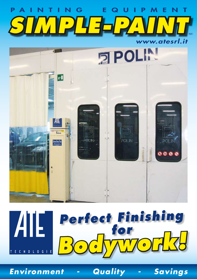



# *Perfect Finishing for*   $\boldsymbol{A}$ *Bodywork!* TECNOLOGIE

*Environment - Quality - Savings*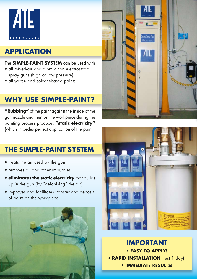

### **APPLICATION**

#### The **SIMPLE-PAINT SYSTEM** can be used with

- all mixed-air and air-mix non electrostatic spray guns (high or low pressure)
- all water- and solvent-based paints

#### **WHY USE SIMPLE-PAINT?**

**"Rubbing"** of the paint against the inside of the gun nozzle and then on the workpiece during the painting process produces **"static electricity"** (which impedes perfect application of the paint)

### **THE SIMPLE-PAINT SYSTEM**

- treats the air used by the gun
- removes oil and other impurities
- **eliminates the static electricity** that builds up in the gun (by "deionising" the air)
- • improves and facilitates transfer and deposit of paint on the workpiece







**IMPORTANT** • **EASY TO APPLY!** • **RAPID INSTALLATION** (just 1 day)**!** • **IMMEDIATE RESULTS!**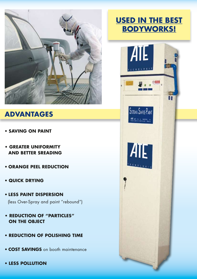

#### **ADVANTAGES**

- **SAVING ON PAINT**
- **GREATER UNIFORMITY AND BETTER SREADING**
- • **ORANGE PEEL REDUCTION**
- **QUICK DRYING**
- • **LESS PAINT DISPERSION** (less Over-Spray and paint "rebound")
- **REDUCTION OF "PARTICLES" ON THE OBJECT**
- **REDUCTION OF POLISHING TIME**
- **COST SAVINGS** on booth maintenance
- **LESS POLLUTION**

## **USED IN THE BEST BODYWORKS!**